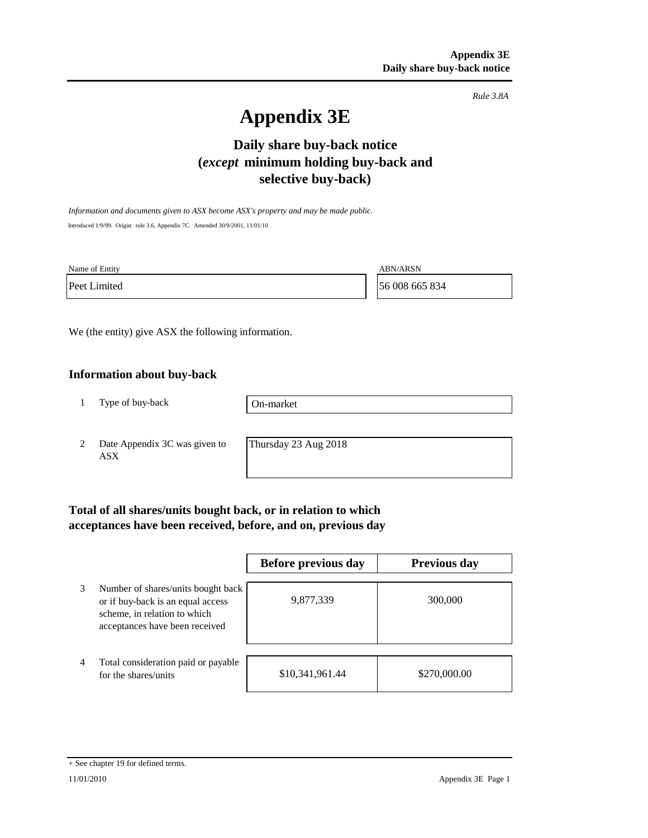*Rule 3.8A*

# **Appendix 3E**

# **Daily share buy-back notice (***except* **minimum holding buy-back and selective buy-back)**

*Information and documents given to ASX become ASX's property and may be made public.* Introduced 1/9/99. Origin: rule 3.6, Appendix 7C. Amended 30/9/2001, 11/01/10

Name of Entity ABN/ARSN

Peet Limited 56 008 665 834

We (the entity) give ASX the following information.

## **Information about buy-back**

1 Type of buy-back

On-market

2 Date Appendix 3C was given to ASX

Thursday 23 Aug 2018

# **Total of all shares/units bought back, or in relation to which acceptances have been received, before, and on, previous day**

|   |                                                                                                                                           | Before previous day | <b>Previous day</b> |
|---|-------------------------------------------------------------------------------------------------------------------------------------------|---------------------|---------------------|
| 3 | Number of shares/units bought back<br>or if buy-back is an equal access<br>scheme, in relation to which<br>acceptances have been received | 9,877,339           | 300,000             |
| 4 | Total consideration paid or payable<br>for the shares/units                                                                               | \$10,341,961.44     | \$270,000.00        |

#### + See chapter 19 for defined terms.